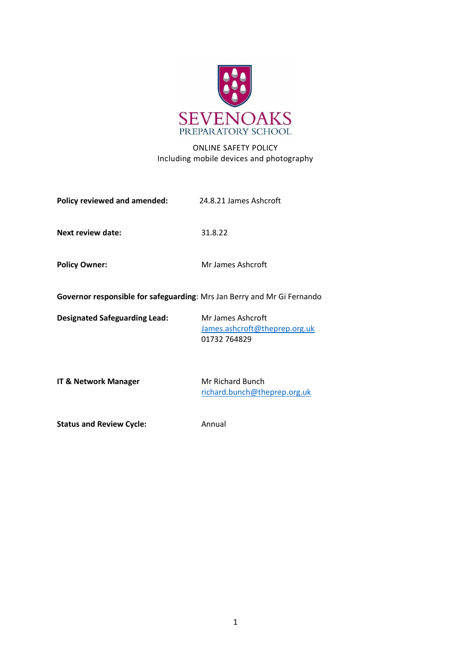

# ONLINE SAFETY POLICY Including mobile devices and photography

| Policy reviewed and amended:                                            | 24.8.21 James Ashcroft |
|-------------------------------------------------------------------------|------------------------|
| Next review date:                                                       | 31.8.22                |
| <b>Policy Owner:</b>                                                    | Mr James Ashcroft      |
| Governor responsible for safeguarding: Mrs Jan Berry and Mr Gi Fernando |                        |

**Designated Safeguarding Lead:** Mr James Ashcroft

[James.ashcroft@theprep.org.uk](mailto:James.ashcroft@theprep.org.uk) 01732 764829

**IT & Network Manager** Mr Richard Bunch

[richard.bunch@theprep.org.uk](mailto:richard.bunch@theprep.org.uk)

**Status and Review Cycle:** Annual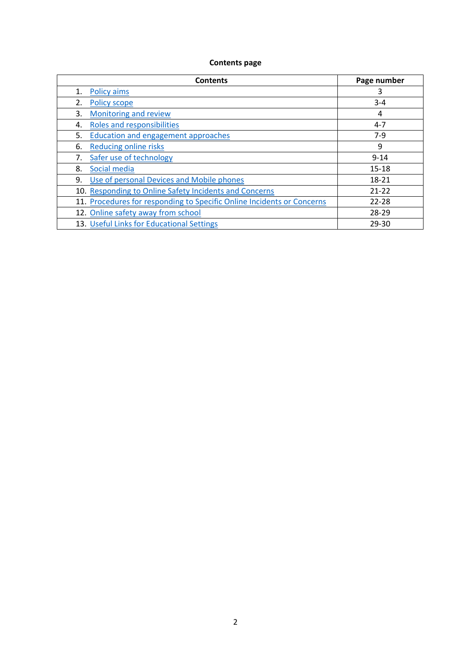# **Contents page**

|    | <b>Contents</b>                                                        | Page number |
|----|------------------------------------------------------------------------|-------------|
| 1. | <b>Policy aims</b>                                                     | 3           |
| 2. | <b>Policy scope</b>                                                    | $3 - 4$     |
| 3. | <b>Monitoring and review</b>                                           | 4           |
| 4. | Roles and responsibilities                                             | $4 - 7$     |
| 5. | <b>Education and engagement approaches</b>                             | $7-9$       |
| 6. | <b>Reducing online risks</b>                                           | 9           |
|    | Safer use of technology                                                | $9 - 14$    |
| 8. | Social media                                                           | $15 - 18$   |
| 9. | Use of personal Devices and Mobile phones                              | 18-21       |
|    | 10. Responding to Online Safety Incidents and Concerns                 | $21 - 22$   |
|    | 11. Procedures for responding to Specific Online Incidents or Concerns | $22 - 28$   |
|    | 12. Online safety away from school                                     | 28-29       |
|    | 13. Useful Links for Educational Settings                              | 29-30       |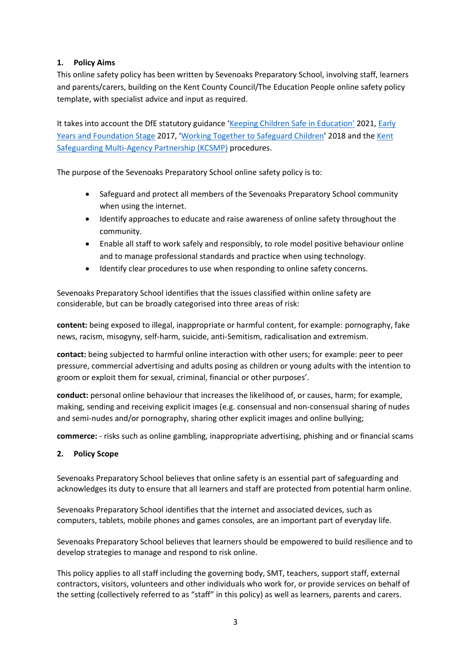# <span id="page-2-0"></span>**1. Policy Aims**

This online safety policy has been written by Sevenoaks Preparatory School, involving staff, learners and parents/carers, building on the Kent County Council/The Education People online safety policy template, with specialist advice and input as required.

It takes into account the DfE statutory guidance '[Keeping Children Safe in Education](https://www.gov.uk/government/publications/keeping-children-safe-in-education--2)' 2021, [Early](https://www.gov.uk/government/publications/early-years-foundation-stage-framework--2)  [Years and Foundation Stage](https://www.gov.uk/government/publications/early-years-foundation-stage-framework--2) 2017, 'Working Together [to Safeguard Children](https://www.gov.uk/government/publications/working-together-to-safeguard-children--2)' 2018 and the [Kent](http://www.kscb.org.uk/)  [Safeguarding Multi-Agency](http://www.kscb.org.uk/) Partnership (KCSMP) procedures.

The purpose of the Sevenoaks Preparatory School online safety policy is to:

- Safeguard and protect all members of the Sevenoaks Preparatory School community when using the internet.
- Identify approaches to educate and raise awareness of online safety throughout the community.
- Enable all staff to work safely and responsibly, to role model positive behaviour online and to manage professional standards and practice when using technology.
- Identify clear procedures to use when responding to online safety concerns.

Sevenoaks Preparatory School identifies that the issues classified within online safety are considerable, but can be broadly categorised into three areas of risk:

**content:** being exposed to illegal, inappropriate or harmful content, for example: pornography, fake news, racism, misogyny, self-harm, suicide, anti-Semitism, radicalisation and extremism.

**contact:** being subjected to harmful online interaction with other users; for example: peer to peer pressure, commercial advertising and adults posing as children or young adults with the intention to groom or exploit them for sexual, criminal, financial or other purposes'.

**conduct:** personal online behaviour that increases the likelihood of, or causes, harm; for example, making, sending and receiving explicit images (e.g. consensual and non-consensual sharing of nudes and semi-nudes and/or pornography, sharing other explicit images and online bullying;

**commerce:** - risks such as online gambling, inappropriate advertising, phishing and or financial scams

# <span id="page-2-1"></span>**2. Policy Scope**

Sevenoaks Preparatory School believes that online safety is an essential part of safeguarding and acknowledges its duty to ensure that all learners and staff are protected from potential harm online.

Sevenoaks Preparatory School identifies that the internet and associated devices, such as computers, tablets, mobile phones and games consoles, are an important part of everyday life.

Sevenoaks Preparatory School believes that learners should be empowered to build resilience and to develop strategies to manage and respond to risk online.

This policy applies to all staff including the governing body, SMT, teachers, support staff, external contractors, visitors, volunteers and other individuals who work for, or provide services on behalf of the setting (collectively referred to as "staff" in this policy) as well as learners, parents and carers.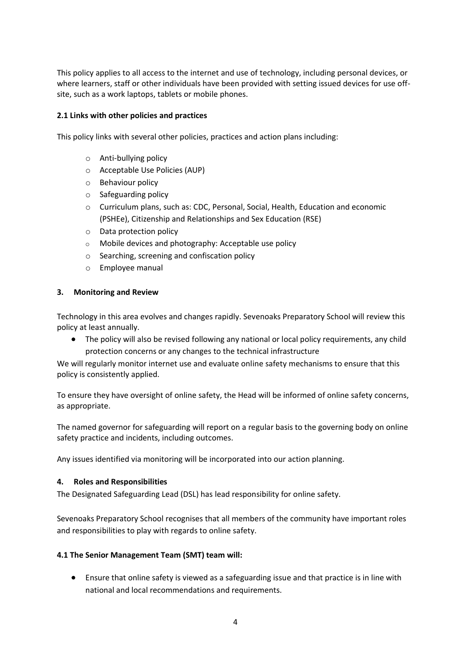This policy applies to all access to the internet and use of technology, including personal devices, or where learners, staff or other individuals have been provided with setting issued devices for use offsite, such as a work laptops, tablets or mobile phones.

### **2.1 Links with other policies and practices**

This policy links with several other policies, practices and action plans including:

- o Anti-bullying policy
- o Acceptable Use Policies (AUP)
- o Behaviour policy
- o Safeguarding policy
- o Curriculum plans, such as: CDC, Personal, Social, Health, Education and economic (PSHEe), Citizenship and Relationships and Sex Education (RSE)
- o Data protection policy
- o Mobile devices and photography: Acceptable use policy
- o Searching, screening and confiscation policy
- o Employee manual

#### <span id="page-3-0"></span>**3. Monitoring and Review**

Technology in this area evolves and changes rapidly. Sevenoaks Preparatory School will review this policy at least annually.

• The policy will also be revised following any national or local policy requirements, any child protection concerns or any changes to the technical infrastructure

We will regularly monitor internet use and evaluate online safety mechanisms to ensure that this policy is consistently applied.

To ensure they have oversight of online safety, the Head will be informed of online safety concerns, as appropriate.

The named governor for safeguarding will report on a regular basis to the governing body on online safety practice and incidents, including outcomes.

Any issues identified via monitoring will be incorporated into our action planning.

#### <span id="page-3-1"></span>**4. Roles and Responsibilities**

The Designated Safeguarding Lead (DSL) has lead responsibility for online safety.

Sevenoaks Preparatory School recognises that all members of the community have important roles and responsibilities to play with regards to online safety.

#### **4.1 The Senior Management Team (SMT) team will:**

• Ensure that online safety is viewed as a safeguarding issue and that practice is in line with national and local recommendations and requirements.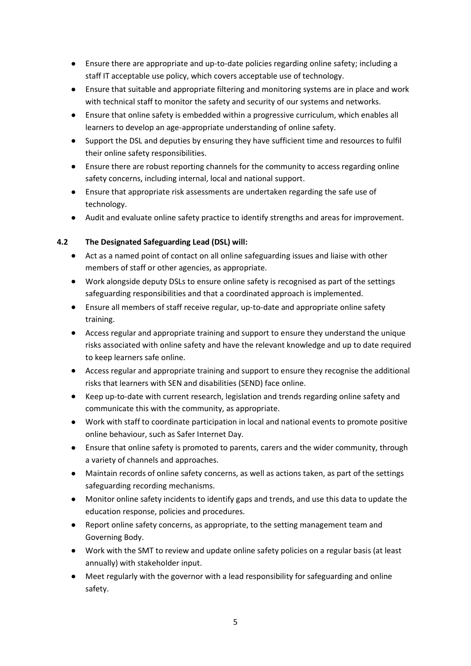- Ensure there are appropriate and up-to-date policies regarding online safety; including a staff IT acceptable use policy, which covers acceptable use of technology.
- Ensure that suitable and appropriate filtering and monitoring systems are in place and work with technical staff to monitor the safety and security of our systems and networks.
- Ensure that online safety is embedded within a progressive curriculum, which enables all learners to develop an age-appropriate understanding of online safety.
- Support the DSL and deputies by ensuring they have sufficient time and resources to fulfil their online safety responsibilities.
- Ensure there are robust reporting channels for the community to access regarding online safety concerns, including internal, local and national support.
- Ensure that appropriate risk assessments are undertaken regarding the safe use of technology.
- Audit and evaluate online safety practice to identify strengths and areas for improvement.

# **4.2 The Designated Safeguarding Lead (DSL) will:**

- Act as a named point of contact on all online safeguarding issues and liaise with other members of staff or other agencies, as appropriate.
- Work alongside deputy DSLs to ensure online safety is recognised as part of the settings safeguarding responsibilities and that a coordinated approach is implemented.
- Ensure all members of staff receive regular, up-to-date and appropriate online safety training.
- Access regular and appropriate training and support to ensure they understand the unique risks associated with online safety and have the relevant knowledge and up to date required to keep learners safe online.
- Access regular and appropriate training and support to ensure they recognise the additional risks that learners with SEN and disabilities (SEND) face online.
- Keep up-to-date with current research, legislation and trends regarding online safety and communicate this with the community, as appropriate.
- Work with staff to coordinate participation in local and national events to promote positive online behaviour, such as Safer Internet Day.
- Ensure that online safety is promoted to parents, carers and the wider community, through a variety of channels and approaches.
- Maintain records of online safety concerns, as well as actions taken, as part of the settings safeguarding recording mechanisms.
- Monitor online safety incidents to identify gaps and trends, and use this data to update the education response, policies and procedures.
- Report online safety concerns, as appropriate, to the setting management team and Governing Body.
- Work with the SMT to review and update online safety policies on a regular basis (at least annually) with stakeholder input.
- Meet regularly with the governor with a lead responsibility for safeguarding and online safety.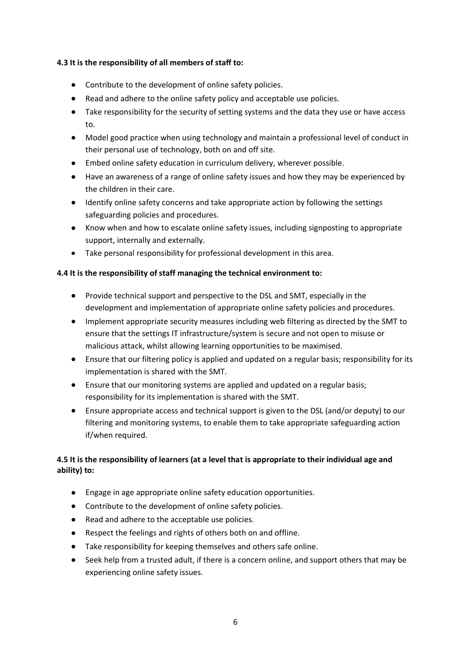### **4.3 It is the responsibility of all members of staff to:**

- Contribute to the development of online safety policies.
- Read and adhere to the online safety policy and acceptable use policies.
- Take responsibility for the security of setting systems and the data they use or have access to.
- Model good practice when using technology and maintain a professional level of conduct in their personal use of technology, both on and off site.
- Embed online safety education in curriculum delivery, wherever possible.
- Have an awareness of a range of online safety issues and how they may be experienced by the children in their care.
- Identify online safety concerns and take appropriate action by following the settings safeguarding policies and procedures.
- Know when and how to escalate online safety issues, including signposting to appropriate support, internally and externally.
- Take personal responsibility for professional development in this area.

# **4.4 It is the responsibility of staff managing the technical environment to:**

- Provide technical support and perspective to the DSL and SMT, especially in the development and implementation of appropriate online safety policies and procedures.
- Implement appropriate security measures including web filtering as directed by the SMT to ensure that the settings IT infrastructure/system is secure and not open to misuse or malicious attack, whilst allowing learning opportunities to be maximised.
- Ensure that our filtering policy is applied and updated on a regular basis; responsibility for its implementation is shared with the SMT.
- Ensure that our monitoring systems are applied and updated on a regular basis; responsibility for its implementation is shared with the SMT.
- Ensure appropriate access and technical support is given to the DSL (and/or deputy) to our filtering and monitoring systems, to enable them to take appropriate safeguarding action if/when required.

# **4.5 It is the responsibility of learners (at a level that is appropriate to their individual age and ability) to:**

- Engage in age appropriate online safety education opportunities.
- Contribute to the development of online safety policies.
- Read and adhere to the acceptable use policies.
- Respect the feelings and rights of others both on and offline.
- Take responsibility for keeping themselves and others safe online.
- Seek help from a trusted adult, if there is a concern online, and support others that may be experiencing online safety issues.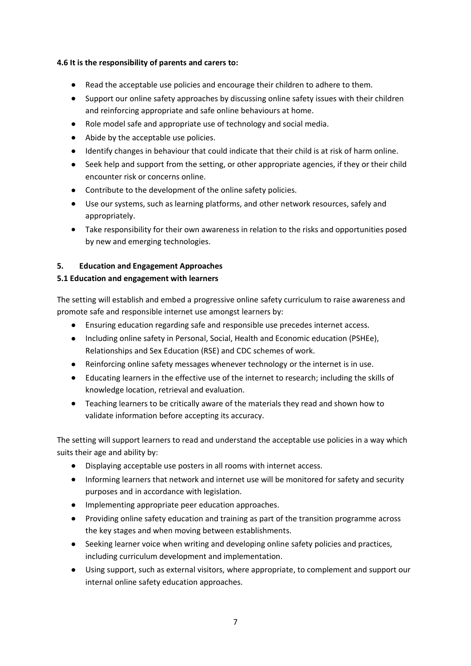### **4.6 It is the responsibility of parents and carers to:**

- Read the acceptable use policies and encourage their children to adhere to them.
- Support our online safety approaches by discussing online safety issues with their children and reinforcing appropriate and safe online behaviours at home.
- Role model safe and appropriate use of technology and social media.
- Abide by the acceptable use policies.
- Identify changes in behaviour that could indicate that their child is at risk of harm online.
- Seek help and support from the setting, or other appropriate agencies, if they or their child encounter risk or concerns online.
- Contribute to the development of the online safety policies.
- Use our systems, such as learning platforms, and other network resources, safely and appropriately.
- Take responsibility for their own awareness in relation to the risks and opportunities posed by new and emerging technologies.

# <span id="page-6-0"></span>**5. Education and Engagement Approaches**

# **5.1 Education and engagement with learners**

The setting will establish and embed a progressive online safety curriculum to raise awareness and promote safe and responsible internet use amongst learners by:

- Ensuring education regarding safe and responsible use precedes internet access.
- Including online safety in Personal, Social, Health and Economic education (PSHEe), Relationships and Sex Education (RSE) and CDC schemes of work.
- Reinforcing online safety messages whenever technology or the internet is in use.
- Educating learners in the effective use of the internet to research; including the skills of knowledge location, retrieval and evaluation.
- Teaching learners to be critically aware of the materials they read and shown how to validate information before accepting its accuracy.

The setting will support learners to read and understand the acceptable use policies in a way which suits their age and ability by:

- Displaying acceptable use posters in all rooms with internet access.
- Informing learners that network and internet use will be monitored for safety and security purposes and in accordance with legislation.
- Implementing appropriate peer education approaches.
- Providing online safety education and training as part of the transition programme across the key stages and when moving between establishments.
- Seeking learner voice when writing and developing online safety policies and practices, including curriculum development and implementation.
- Using support, such as external visitors, where appropriate, to complement and support our internal online safety education approaches.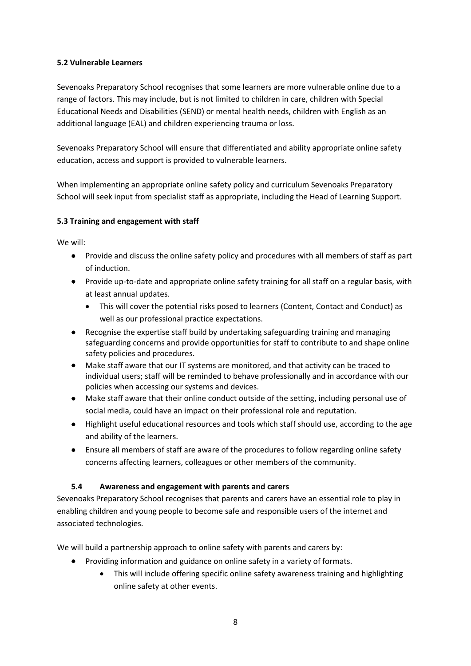# **5.2 Vulnerable Learners**

Sevenoaks Preparatory School recognises that some learners are more vulnerable online due to a range of factors. This may include, but is not limited to children in care, children with Special Educational Needs and Disabilities (SEND) or mental health needs, children with English as an additional language (EAL) and children experiencing trauma or loss.

Sevenoaks Preparatory School will ensure that differentiated and ability appropriate online safety education, access and support is provided to vulnerable learners.

When implementing an appropriate online safety policy and curriculum Sevenoaks Preparatory School will seek input from specialist staff as appropriate, including the Head of Learning Support.

# **5.3 Training and engagement with staff**

We will:

- Provide and discuss the online safety policy and procedures with all members of staff as part of induction.
- Provide up-to-date and appropriate online safety training for all staff on a regular basis, with at least annual updates.
	- This will cover the potential risks posed to learners (Content, Contact and Conduct) as well as our professional practice expectations.
- Recognise the expertise staff build by undertaking safeguarding training and managing safeguarding concerns and provide opportunities for staff to contribute to and shape online safety policies and procedures.
- Make staff aware that our IT systems are monitored, and that activity can be traced to individual users; staff will be reminded to behave professionally and in accordance with our policies when accessing our systems and devices.
- Make staff aware that their online conduct outside of the setting, including personal use of social media, could have an impact on their professional role and reputation.
- Highlight useful educational resources and tools which staff should use, according to the age and ability of the learners.
- Ensure all members of staff are aware of the procedures to follow regarding online safety concerns affecting learners, colleagues or other members of the community.

# **5.4 Awareness and engagement with parents and carers**

Sevenoaks Preparatory School recognises that parents and carers have an essential role to play in enabling children and young people to become safe and responsible users of the internet and associated technologies.

We will build a partnership approach to online safety with parents and carers by:

- Providing information and guidance on online safety in a variety of formats.
	- This will include offering specific online safety awareness training and highlighting online safety at other events.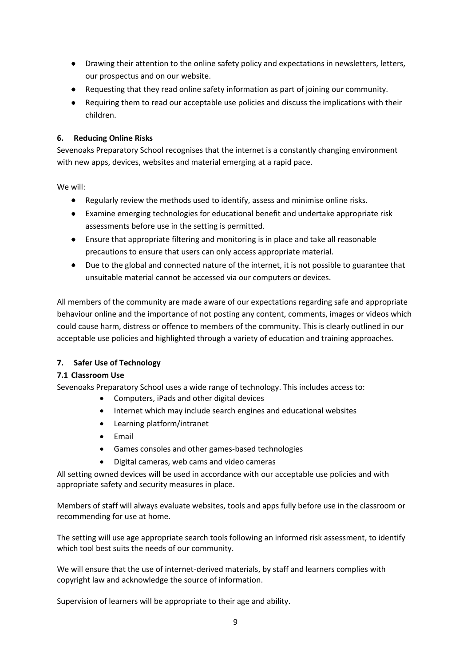- Drawing their attention to the online safety policy and expectations in newsletters, letters, our prospectus and on our website.
- Requesting that they read online safety information as part of joining our community.
- <span id="page-8-0"></span>• Requiring them to read our acceptable use policies and discuss the implications with their children.

### **6. Reducing Online Risks**

Sevenoaks Preparatory School recognises that the internet is a constantly changing environment with new apps, devices, websites and material emerging at a rapid pace.

We will:

- Regularly review the methods used to identify, assess and minimise online risks.
- Examine emerging technologies for educational benefit and undertake appropriate risk assessments before use in the setting is permitted.
- Ensure that appropriate filtering and monitoring is in place and take all reasonable precautions to ensure that users can only access appropriate material.
- Due to the global and connected nature of the internet, it is not possible to guarantee that unsuitable material cannot be accessed via our computers or devices.

All members of the community are made aware of our expectations regarding safe and appropriate behaviour online and the importance of not posting any content, comments, images or videos which could cause harm, distress or offence to members of the community. This is clearly outlined in our acceptable use policies and highlighted through a variety of education and training approaches.

# <span id="page-8-1"></span>**7. Safer Use of Technology**

# **7.1 Classroom Use**

Sevenoaks Preparatory School uses a wide range of technology. This includes access to:

- Computers, iPads and other digital devices
- Internet which may include search engines and educational websites
- Learning platform/intranet
- Email
- Games consoles and other games-based technologies
- Digital cameras, web cams and video cameras

All setting owned devices will be used in accordance with our acceptable use policies and with appropriate safety and security measures in place.

Members of staff will always evaluate websites, tools and apps fully before use in the classroom or recommending for use at home.

The setting will use age appropriate search tools following an informed risk assessment, to identify which tool best suits the needs of our community.

We will ensure that the use of internet-derived materials, by staff and learners complies with copyright law and acknowledge the source of information.

Supervision of learners will be appropriate to their age and ability.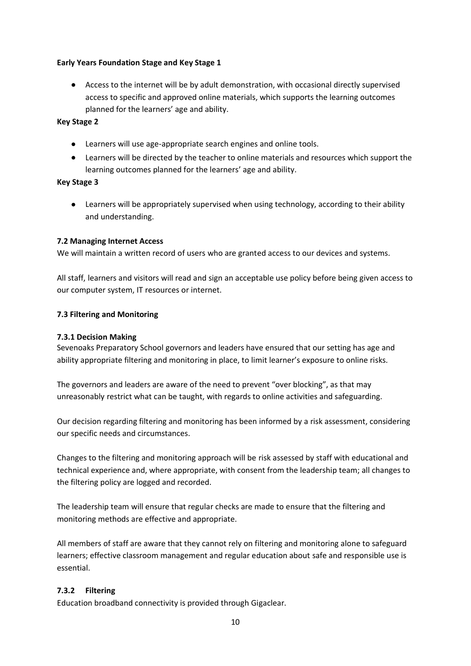### **Early Years Foundation Stage and Key Stage 1**

• Access to the internet will be by adult demonstration, with occasional directly supervised access to specific and approved online materials, which supports the learning outcomes planned for the learners' age and ability.

### **Key Stage 2**

- Learners will use age-appropriate search engines and online tools.
- Learners will be directed by the teacher to online materials and resources which support the learning outcomes planned for the learners' age and ability.

#### **Key Stage 3**

• Learners will be appropriately supervised when using technology, according to their ability and understanding.

### **7.2 Managing Internet Access**

We will maintain a written record of users who are granted access to our devices and systems.

All staff, learners and visitors will read and sign an acceptable use policy before being given access to our computer system, IT resources or internet.

### **7.3 Filtering and Monitoring**

### **7.3.1 Decision Making**

Sevenoaks Preparatory School governors and leaders have ensured that our setting has age and ability appropriate filtering and monitoring in place, to limit learner's exposure to online risks.

The governors and leaders are aware of the need to prevent "over blocking", as that may unreasonably restrict what can be taught, with regards to online activities and safeguarding.

Our decision regarding filtering and monitoring has been informed by a risk assessment, considering our specific needs and circumstances.

Changes to the filtering and monitoring approach will be risk assessed by staff with educational and technical experience and, where appropriate, with consent from the leadership team; all changes to the filtering policy are logged and recorded.

The leadership team will ensure that regular checks are made to ensure that the filtering and monitoring methods are effective and appropriate.

All members of staff are aware that they cannot rely on filtering and monitoring alone to safeguard learners; effective classroom management and regular education about safe and responsible use is essential.

# **7.3.2 Filtering**

Education broadband connectivity is provided through Gigaclear.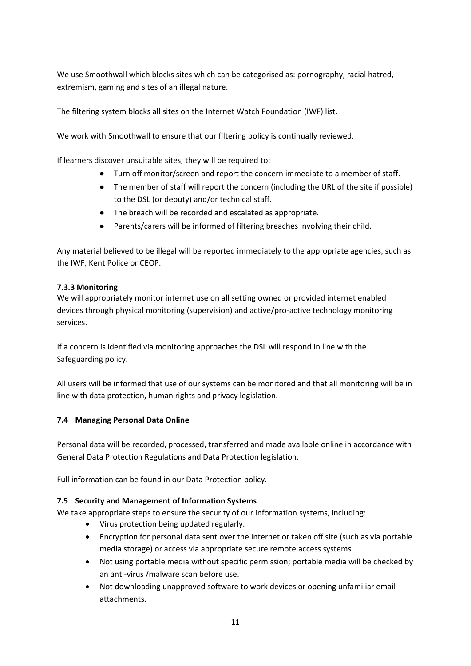We use Smoothwall which blocks sites which can be categorised as: pornography, racial hatred, extremism, gaming and sites of an illegal nature.

The filtering system blocks all sites on the [Internet Watch Foundation](https://www.iwf.org.uk/) (IWF) list.

We work with Smoothwall to ensure that our filtering policy is continually reviewed.

If learners discover unsuitable sites, they will be required to:

- Turn off monitor/screen and report the concern immediate to a member of staff.
- The member of staff will report the concern (including the URL of the site if possible) to the DSL (or deputy) and/or technical staff.
- The breach will be recorded and escalated as appropriate.
- Parents/carers will be informed of filtering breaches involving their child.

Any material believed to be illegal will be reported immediately to the appropriate agencies, such as the IWF, Kent Police or CEOP.

# **7.3.3 Monitoring**

We will appropriately monitor internet use on all setting owned or provided internet enabled devices through physical monitoring (supervision) and active/pro-active technology monitoring services.

If a concern is identified via monitoring approaches the DSL will respond in line with the Safeguarding policy.

All users will be informed that use of our systems can be monitored and that all monitoring will be in line with data protection, human rights and privacy legislation.

# **7.4 Managing Personal Data Online**

Personal data will be recorded, processed, transferred and made available online in accordance with General Data Protection Regulations and Data Protection legislation.

Full information can be found in our Data Protection policy.

# **7.5 Security and Management of Information Systems**

We take appropriate steps to ensure the security of our information systems, including:

- Virus protection being updated regularly.
- Encryption for personal data sent over the Internet or taken off site (such as via portable media storage) or access via appropriate secure remote access systems.
- Not using portable media without specific permission; portable media will be checked by an anti-virus /malware scan before use.
- Not downloading unapproved software to work devices or opening unfamiliar email attachments.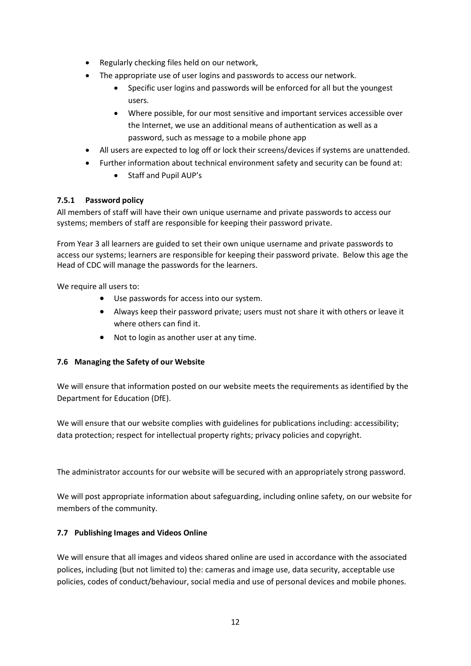- Regularly checking files held on our network,
- The appropriate use of user logins and passwords to access our network.
	- Specific user logins and passwords will be enforced for all but the youngest users.
	- Where possible, for our most sensitive and important services accessible over the Internet, we use an additional means of authentication as well as a password, such as message to a mobile phone app
- All users are expected to log off or lock their screens/devices if systems are unattended.
- Further information about technical environment safety and security can be found at:
	- Staff and Pupil AUP's

# **7.5.1 Password policy**

All members of staff will have their own unique username and private passwords to access our systems; members of staff are responsible for keeping their password private.

From Year 3 all learners are guided to set their own unique username and private passwords to access our systems; learners are responsible for keeping their password private. Below this age the Head of CDC will manage the passwords for the learners.

We require all users to:

- Use passwords for access into our system.
- Always keep their password private; users must not share it with others or leave it where others can find it.
- Not to login as another user at any time.

# **7.6 Managing the Safety of our Website**

We will ensure that information posted on our website meets the requirements as identified by the Department for Education (DfE).

We will ensure that our website complies with guidelines for publications including: accessibility; data protection; respect for intellectual property rights; privacy policies and copyright.

The administrator accounts for our website will be secured with an appropriately strong password.

We will post appropriate information about safeguarding, including online safety, on our website for members of the community.

# **7.7 Publishing Images and Videos Online**

We will ensure that all images and videos shared online are used in accordance with the associated polices, including (but not limited to) the: cameras and image use, data security, acceptable use policies, codes of conduct/behaviour, social media and use of personal devices and mobile phones.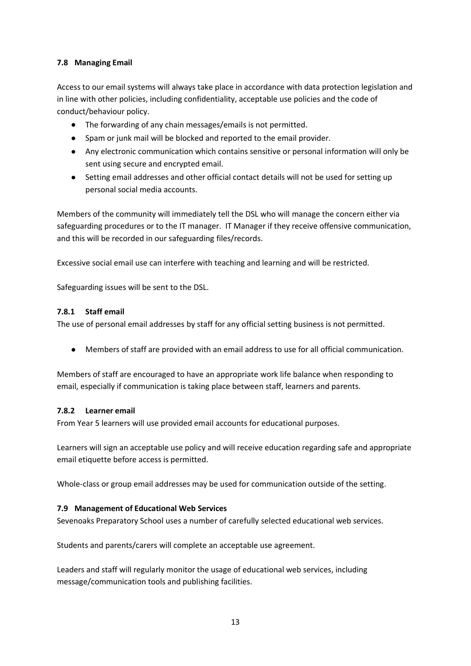# **7.8 Managing Email**

Access to our email systems will always take place in accordance with data protection legislation and in line with other policies, including confidentiality, acceptable use policies and the code of conduct/behaviour policy.

- The forwarding of any chain messages/emails is not permitted.
- Spam or junk mail will be blocked and reported to the email provider.
- Any electronic communication which contains sensitive or personal information will only be sent using secure and encrypted email.
- Setting email addresses and other official contact details will not be used for setting up personal social media accounts.

Members of the community will immediately tell the DSL who will manage the concern either via safeguarding procedures or to the IT manager. IT Manager if they receive offensive communication, and this will be recorded in our safeguarding files/records.

Excessive social email use can interfere with teaching and learning and will be restricted.

Safeguarding issues will be sent to the DSL.

### **7.8.1 Staff email**

The use of personal email addresses by staff for any official setting business is not permitted.

• Members of staff are provided with an email address to use for all official communication.

Members of staff are encouraged to have an appropriate work life balance when responding to email, especially if communication is taking place between staff, learners and parents.

#### **7.8.2 Learner email**

From Year 5 learners will use provided email accounts for educational purposes.

Learners will sign an acceptable use policy and will receive education regarding safe and appropriate email etiquette before access is permitted.

Whole-class or group email addresses may be used for communication outside of the setting.

# **7.9 Management of Educational Web Services**

Sevenoaks Preparatory School uses a number of carefully selected educational web services.

Students and parents/carers will complete an acceptable use agreement.

Leaders and staff will regularly monitor the usage of educational web services, including message/communication tools and publishing facilities.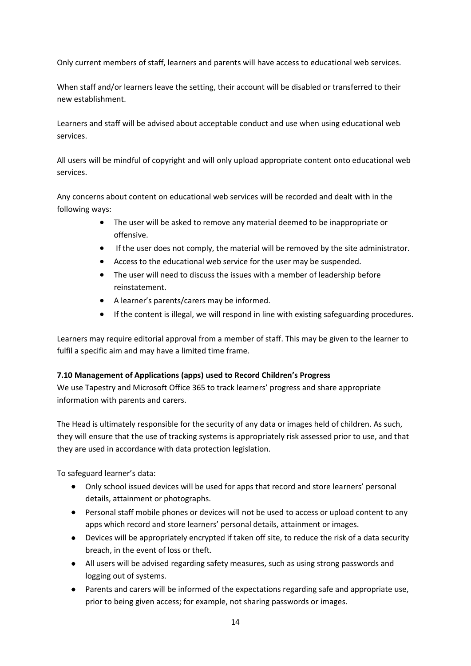Only current members of staff, learners and parents will have access to educational web services.

When staff and/or learners leave the setting, their account will be disabled or transferred to their new establishment.

Learners and staff will be advised about acceptable conduct and use when using educational web services.

All users will be mindful of copyright and will only upload appropriate content onto educational web services.

Any concerns about content on educational web services will be recorded and dealt with in the following ways:

- The user will be asked to remove any material deemed to be inappropriate or offensive.
- If the user does not comply, the material will be removed by the site administrator.
- Access to the educational web service for the user may be suspended.
- The user will need to discuss the issues with a member of leadership before reinstatement.
- A learner's parents/carers may be informed.
- If the content is illegal, we will respond in line with existing safeguarding procedures.

Learners may require editorial approval from a member of staff. This may be given to the learner to fulfil a specific aim and may have a limited time frame.

# **7.10 Management of Applications (apps) used to Record Children's Progress**

We use Tapestry and Microsoft Office 365 to track learners' progress and share appropriate information with parents and carers.

The Head is ultimately responsible for the security of any data or images held of children. As such, they will ensure that the use of tracking systems is appropriately risk assessed prior to use, and that they are used in accordance with data protection legislation.

To safeguard learner's data:

- Only school issued devices will be used for apps that record and store learners' personal details, attainment or photographs.
- Personal staff mobile phones or devices will not be used to access or upload content to any apps which record and store learners' personal details, attainment or images.
- Devices will be appropriately encrypted if taken off site, to reduce the risk of a data security breach, in the event of loss or theft.
- All users will be advised regarding safety measures, such as using strong passwords and logging out of systems.
- Parents and carers will be informed of the expectations regarding safe and appropriate use, prior to being given access; for example, not sharing passwords or images.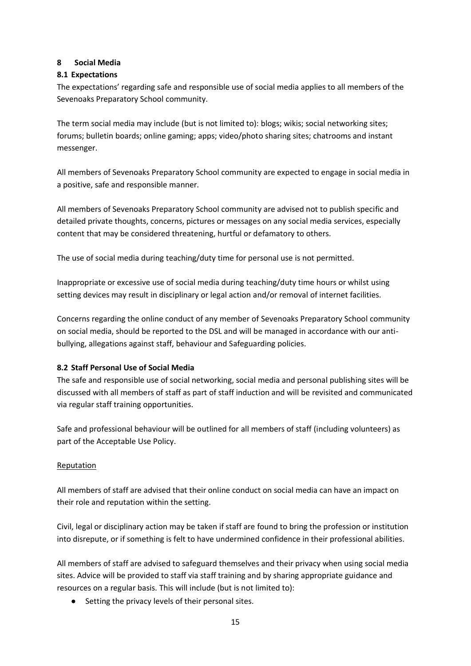# <span id="page-14-0"></span>**8 Social Media**

# **8.1 Expectations**

The expectations' regarding safe and responsible use of social media applies to all members of the Sevenoaks Preparatory School community.

The term social media may include (but is not limited to): blogs; wikis; social networking sites; forums; bulletin boards; online gaming; apps; video/photo sharing sites; chatrooms and instant messenger.

All members of Sevenoaks Preparatory School community are expected to engage in social media in a positive, safe and responsible manner.

All members of Sevenoaks Preparatory School community are advised not to publish specific and detailed private thoughts, concerns, pictures or messages on any social media services, especially content that may be considered threatening, hurtful or defamatory to others.

The use of social media during teaching/duty time for personal use is not permitted.

Inappropriate or excessive use of social media during teaching/duty time hours or whilst using setting devices may result in disciplinary or legal action and/or removal of internet facilities.

Concerns regarding the online conduct of any member of Sevenoaks Preparatory School community on social media, should be reported to the DSL and will be managed in accordance with our antibullying, allegations against staff, behaviour and Safeguarding policies.

# **8.2 Staff Personal Use of Social Media**

The safe and responsible use of social networking, social media and personal publishing sites will be discussed with all members of staff as part of staff induction and will be revisited and communicated via regular staff training opportunities.

Safe and professional behaviour will be outlined for all members of staff (including volunteers) as part of the Acceptable Use Policy.

# Reputation

All members of staff are advised that their online conduct on social media can have an impact on their role and reputation within the setting.

Civil, legal or disciplinary action may be taken if staff are found to bring the profession or institution into disrepute, or if something is felt to have undermined confidence in their professional abilities.

All members of staff are advised to safeguard themselves and their privacy when using social media sites. Advice will be provided to staff via staff training and by sharing appropriate guidance and resources on a regular basis. This will include (but is not limited to):

Setting the privacy levels of their personal sites.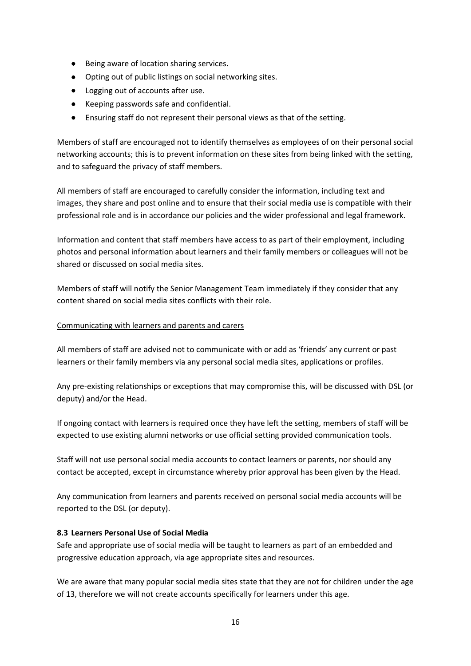- Being aware of location sharing services.
- Opting out of public listings on social networking sites.
- Logging out of accounts after use.
- Keeping passwords safe and confidential.
- Ensuring staff do not represent their personal views as that of the setting.

Members of staff are encouraged not to identify themselves as employees of on their personal social networking accounts; this is to prevent information on these sites from being linked with the setting, and to safeguard the privacy of staff members.

All members of staff are encouraged to carefully consider the information, including text and images, they share and post online and to ensure that their social media use is compatible with their professional role and is in accordance our policies and the wider professional and legal framework.

Information and content that staff members have access to as part of their employment, including photos and personal information about learners and their family members or colleagues will not be shared or discussed on social media sites.

Members of staff will notify the Senior Management Team immediately if they consider that any content shared on social media sites conflicts with their role.

### Communicating with learners and parents and carers

All members of staff are advised not to communicate with or add as 'friends' any current or past learners or their family members via any personal social media sites, applications or profiles.

Any pre-existing relationships or exceptions that may compromise this, will be discussed with DSL (or deputy) and/or the Head.

If ongoing contact with learners is required once they have left the setting, members of staff will be expected to use existing alumni networks or use official setting provided communication tools.

Staff will not use personal social media accounts to contact learners or parents, nor should any contact be accepted, except in circumstance whereby prior approval has been given by the Head.

Any communication from learners and parents received on personal social media accounts will be reported to the DSL (or deputy).

# **8.3 Learners Personal Use of Social Media**

Safe and appropriate use of social media will be taught to learners as part of an embedded and progressive education approach, via age appropriate sites and resources.

We are aware that many popular social media sites state that they are not for children under the age of 13, therefore we will not create accounts specifically for learners under this age.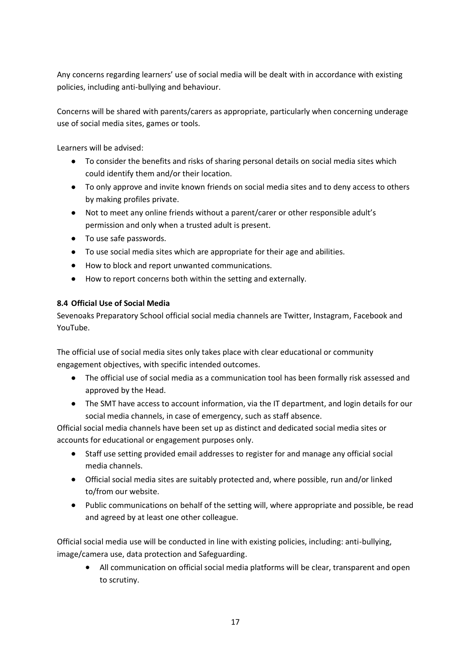Any concerns regarding learners' use of social media will be dealt with in accordance with existing policies, including anti-bullying and behaviour.

Concerns will be shared with parents/carers as appropriate, particularly when concerning underage use of social media sites, games or tools.

Learners will be advised:

- To consider the benefits and risks of sharing personal details on social media sites which could identify them and/or their location.
- To only approve and invite known friends on social media sites and to deny access to others by making profiles private.
- Not to meet any online friends without a parent/carer or other responsible adult's permission and only when a trusted adult is present.
- To use safe passwords.
- To use social media sites which are appropriate for their age and abilities.
- How to block and report unwanted communications.
- How to report concerns both within the setting and externally.

# **8.4 Official Use of Social Media**

Sevenoaks Preparatory School official social media channels are Twitter, Instagram, Facebook and YouTube.

The official use of social media sites only takes place with clear educational or community engagement objectives, with specific intended outcomes.

- The official use of social media as a communication tool has been formally risk assessed and approved by the Head.
- The SMT have access to account information, via the IT department, and login details for our social media channels, in case of emergency, such as staff absence.

Official social media channels have been set up as distinct and dedicated social media sites or accounts for educational or engagement purposes only.

- Staff use setting provided email addresses to register for and manage any official social media channels.
- Official social media sites are suitably protected and, where possible, run and/or linked to/from our website.
- Public communications on behalf of the setting will, where appropriate and possible, be read and agreed by at least one other colleague.

Official social media use will be conducted in line with existing policies, including: anti-bullying, image/camera use, data protection and Safeguarding.

• All communication on official social media platforms will be clear, transparent and open to scrutiny.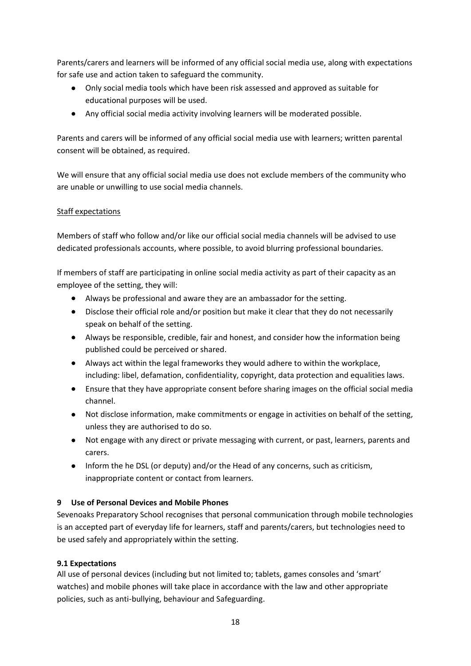Parents/carers and learners will be informed of any official social media use, along with expectations for safe use and action taken to safeguard the community.

- Only social media tools which have been risk assessed and approved as suitable for educational purposes will be used.
- Any official social media activity involving learners will be moderated possible.

Parents and carers will be informed of any official social media use with learners; written parental consent will be obtained, as required.

We will ensure that any official social media use does not exclude members of the community who are unable or unwilling to use social media channels.

# Staff expectations

Members of staff who follow and/or like our official social media channels will be advised to use dedicated professionals accounts, where possible, to avoid blurring professional boundaries.

If members of staff are participating in online social media activity as part of their capacity as an employee of the setting, they will:

- Always be professional and aware they are an ambassador for the setting.
- Disclose their official role and/or position but make it clear that they do not necessarily speak on behalf of the setting.
- Always be responsible, credible, fair and honest, and consider how the information being published could be perceived or shared.
- Always act within the legal frameworks they would adhere to within the workplace, including: libel, defamation, confidentiality, copyright, data protection and equalities laws.
- Ensure that they have appropriate consent before sharing images on the official social media channel.
- Not disclose information, make commitments or engage in activities on behalf of the setting, unless they are authorised to do so.
- Not engage with any direct or private messaging with current, or past, learners, parents and carers.
- <span id="page-17-0"></span>• Inform the he DSL (or deputy) and/or the Head of any concerns, such as criticism, inappropriate content or contact from learners.

# **9 Use of Personal Devices and Mobile Phones**

Sevenoaks Preparatory School recognises that personal communication through mobile technologies is an accepted part of everyday life for learners, staff and parents/carers, but technologies need to be used safely and appropriately within the setting.

# **9.1 Expectations**

All use of personal devices (including but not limited to; tablets, games consoles and 'smart' watches) and mobile phones will take place in accordance with the law and other appropriate policies, such as anti-bullying, behaviour and Safeguarding.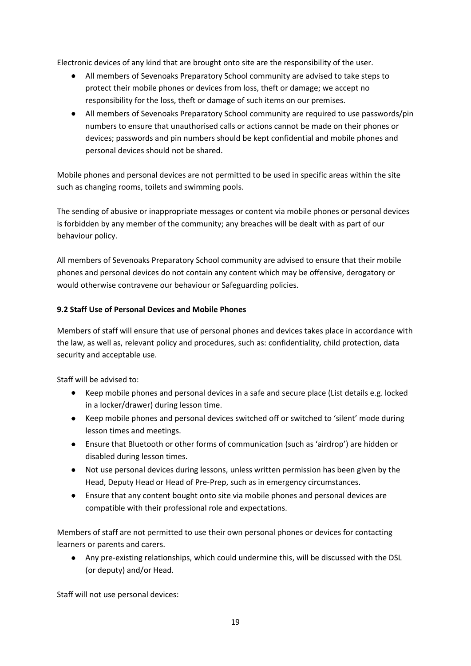Electronic devices of any kind that are brought onto site are the responsibility of the user.

- All members of Sevenoaks Preparatory School community are advised to take steps to protect their mobile phones or devices from loss, theft or damage; we accept no responsibility for the loss, theft or damage of such items on our premises.
- All members of Sevenoaks Preparatory School community are required to use passwords/pin numbers to ensure that unauthorised calls or actions cannot be made on their phones or devices; passwords and pin numbers should be kept confidential and mobile phones and personal devices should not be shared.

Mobile phones and personal devices are not permitted to be used in specific areas within the site such as changing rooms, toilets and swimming pools.

The sending of abusive or inappropriate messages or content via mobile phones or personal devices is forbidden by any member of the community; any breaches will be dealt with as part of our behaviour policy.

All members of Sevenoaks Preparatory School community are advised to ensure that their mobile phones and personal devices do not contain any content which may be offensive, derogatory or would otherwise contravene our behaviour or Safeguarding policies.

# **9.2 Staff Use of Personal Devices and Mobile Phones**

Members of staff will ensure that use of personal phones and devices takes place in accordance with the law, as well as, relevant policy and procedures, such as: confidentiality, child protection, data security and acceptable use.

Staff will be advised to:

- Keep mobile phones and personal devices in a safe and secure place (List details e.g. locked in a locker/drawer) during lesson time.
- Keep mobile phones and personal devices switched off or switched to 'silent' mode during lesson times and meetings.
- Ensure that Bluetooth or other forms of communication (such as 'airdrop') are hidden or disabled during lesson times.
- Not use personal devices during lessons, unless written permission has been given by the Head, Deputy Head or Head of Pre-Prep, such as in emergency circumstances.
- Ensure that any content bought onto site via mobile phones and personal devices are compatible with their professional role and expectations.

Members of staff are not permitted to use their own personal phones or devices for contacting learners or parents and carers.

• Any pre-existing relationships, which could undermine this, will be discussed with the DSL (or deputy) and/or Head.

Staff will not use personal devices: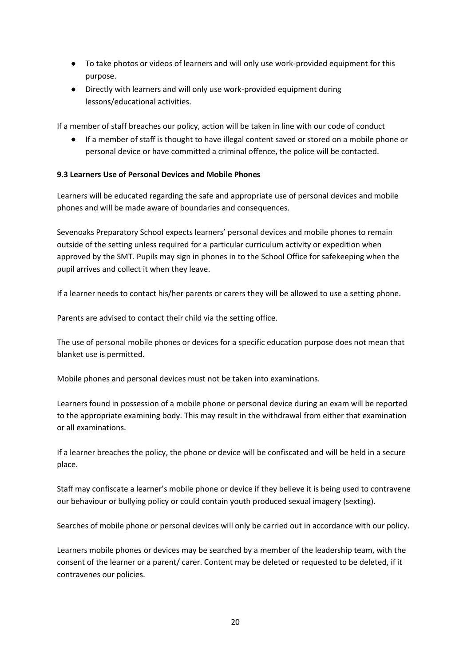- To take photos or videos of learners and will only use work-provided equipment for this purpose.
- Directly with learners and will only use work-provided equipment during lessons/educational activities.

If a member of staff breaches our policy, action will be taken in line with our code of conduct

• If a member of staff is thought to have illegal content saved or stored on a mobile phone or personal device or have committed a criminal offence, the police will be contacted.

### **9.3 Learners Use of Personal Devices and Mobile Phones**

Learners will be educated regarding the safe and appropriate use of personal devices and mobile phones and will be made aware of boundaries and consequences.

Sevenoaks Preparatory School expects learners' personal devices and mobile phones to remain outside of the setting unless required for a particular curriculum activity or expedition when approved by the SMT. Pupils may sign in phones in to the School Office for safekeeping when the pupil arrives and collect it when they leave.

If a learner needs to contact his/her parents or carers they will be allowed to use a setting phone.

Parents are advised to contact their child via the setting office.

The use of personal mobile phones or devices for a specific education purpose does not mean that blanket use is permitted.

Mobile phones and personal devices must not be taken into examinations.

Learners found in possession of a mobile phone or personal device during an exam will be reported to the appropriate examining body. This may result in the withdrawal from either that examination or all examinations.

If a learner breaches the policy, the phone or device will be confiscated and will be held in a secure place.

Staff may confiscate a learner's mobile phone or device if they believe it is being used to contravene our behaviour or bullying policy or could contain youth produced sexual imagery (sexting).

Searches of mobile phone or personal devices will only be carried out in accordance with our policy.

Learners mobile phones or devices may be searched by a member of the leadership team, with the consent of the learner or a parent/ carer. Content may be deleted or requested to be deleted, if it contravenes our policies.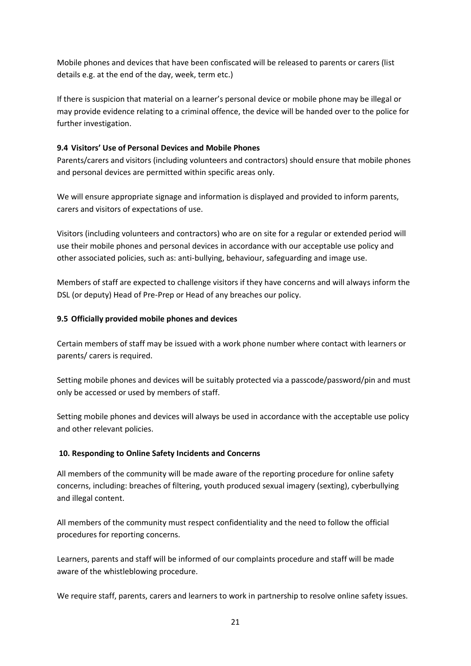Mobile phones and devices that have been confiscated will be released to parents or carers (list details e.g. at the end of the day, week, term etc.)

If there is suspicion that material on a learner's personal device or mobile phone may be illegal or may provide evidence relating to a criminal offence, the device will be handed over to the police for further investigation.

# **9.4 Visitors' Use of Personal Devices and Mobile Phones**

Parents/carers and visitors (including volunteers and contractors) should ensure that mobile phones and personal devices are permitted within specific areas only.

We will ensure appropriate signage and information is displayed and provided to inform parents, carers and visitors of expectations of use.

Visitors (including volunteers and contractors) who are on site for a regular or extended period will use their mobile phones and personal devices in accordance with our acceptable use policy and other associated policies, such as: anti-bullying, behaviour, safeguarding and image use.

Members of staff are expected to challenge visitors if they have concerns and will always inform the DSL (or deputy) Head of Pre-Prep or Head of any breaches our policy.

# **9.5 Officially provided mobile phones and devices**

Certain members of staff may be issued with a work phone number where contact with learners or parents/ carers is required.

Setting mobile phones and devices will be suitably protected via a passcode/password/pin and must only be accessed or used by members of staff.

Setting mobile phones and devices will always be used in accordance with the acceptable use policy and other relevant policies.

# <span id="page-20-0"></span>**10. Responding to Online Safety Incidents and Concerns**

All members of the community will be made aware of the reporting procedure for online safety concerns, including: breaches of filtering, youth produced sexual imagery (sexting), cyberbullying and illegal content.

All members of the community must respect confidentiality and the need to follow the official procedures for reporting concerns.

Learners, parents and staff will be informed of our complaints procedure and staff will be made aware of the whistleblowing procedure.

We require staff, parents, carers and learners to work in partnership to resolve online safety issues.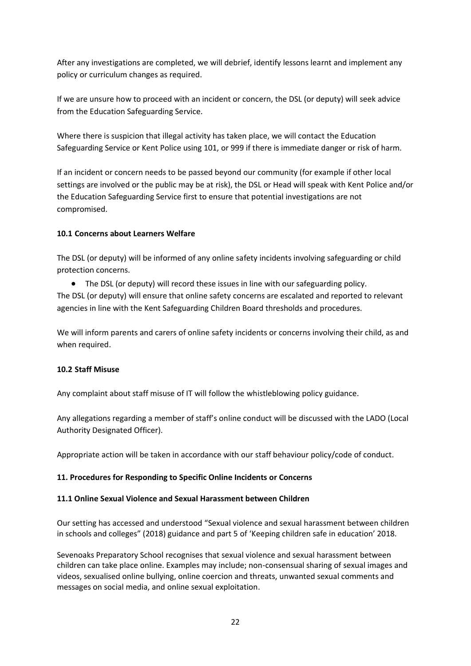After any investigations are completed, we will debrief, identify lessons learnt and implement any policy or curriculum changes as required.

If we are unsure how to proceed with an incident or concern, the DSL (or deputy) will seek advice from the Education Safeguarding Service.

Where there is suspicion that illegal activity has taken place, we will contact the Education Safeguarding Service or Kent Police using 101, or 999 if there is immediate danger or risk of harm.

If an incident or concern needs to be passed beyond our community (for example if other local settings are involved or the public may be at risk), the DSL or Head will speak with Kent Police and/or the Education Safeguarding Service first to ensure that potential investigations are not compromised.

# **10.1 Concerns about Learners Welfare**

The DSL (or deputy) will be informed of any online safety incidents involving safeguarding or child protection concerns.

• The DSL (or deputy) will record these issues in line with our safeguarding policy.

The DSL (or deputy) will ensure that online safety concerns are escalated and reported to relevant agencies in line with the Kent Safeguarding Children Board thresholds and procedures.

We will inform parents and carers of online safety incidents or concerns involving their child, as and when required.

# **10.2 Staff Misuse**

Any complaint about staff misuse of IT will follow the whistleblowing policy guidance.

Any allegations regarding a member of staff's online conduct will be discussed with the LADO (Local Authority Designated Officer).

Appropriate action will be taken in accordance with our staff behaviour policy/code of conduct.

# <span id="page-21-0"></span>**11. Procedures for Responding to Specific Online Incidents or Concerns**

#### **11.1 Online Sexual Violence and Sexual Harassment between Children**

Our setting has accessed and understood "[Sexual violence and sexual harassment between children](https://www.gov.uk/government/publications/sexual-violence-and-sexual-harassment-between-children-in-schools-and-colleges)  [in schools and colleges](https://www.gov.uk/government/publications/sexual-violence-and-sexual-harassment-between-children-in-schools-and-colleges)" (2018) guidance and part 5 of 'Keeping children safe in education' 2018.

Sevenoaks Preparatory School recognises that sexual violence and sexual harassment between children can take place online. Examples may include; non-consensual sharing of sexual images and videos, sexualised online bullying, online coercion and threats, unwanted sexual comments and messages on social media, and online sexual exploitation.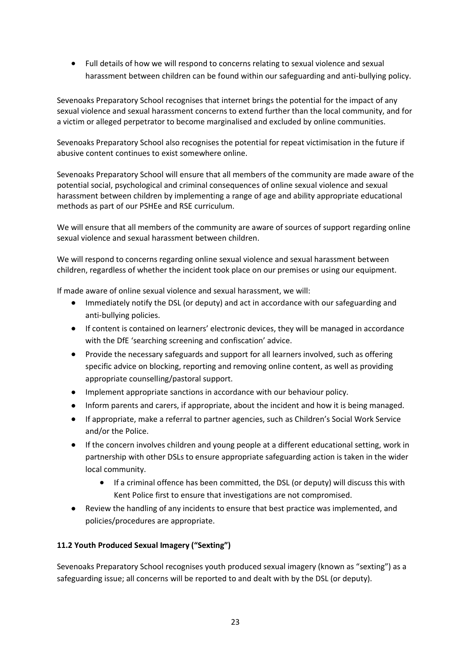• Full details of how we will respond to concerns relating to sexual violence and sexual harassment between children can be found within our safeguarding and anti-bullying policy.

Sevenoaks Preparatory School recognises that internet brings the potential for the impact of any sexual violence and sexual harassment concerns to extend further than the local community, and for a victim or alleged perpetrator to become marginalised and excluded by online communities.

Sevenoaks Preparatory School also recognises the potential for repeat victimisation in the future if abusive content continues to exist somewhere online.

Sevenoaks Preparatory School will ensure that all members of the community are made aware of the potential social, psychological and criminal consequences of online sexual violence and sexual harassment between children by implementing a range of age and ability appropriate educational methods as part of our PSHEe and RSE curriculum.

We will ensure that all members of the community are aware of sources of support regarding online sexual violence and sexual harassment between children.

We will respond to concerns regarding online sexual violence and sexual harassment between children, regardless of whether the incident took place on our premises or using our equipment.

If made aware of online sexual violence and sexual harassment, we will:

- Immediately notify the DSL (or deputy) and act in accordance with our safeguarding and anti-bullying policies.
- If content is contained on learners' electronic devices, they will be managed in accordance with the DfE '[searching screening and](https://www.gov.uk/government/publications/searching-screening-and-confiscation) confiscation' advice.
- Provide the necessary safeguards and support for all learners involved, such as offering specific advice on blocking, reporting and removing online content, as well as providing appropriate counselling/pastoral support.
- Implement appropriate sanctions in accordance with our behaviour policy.
- Inform parents and carers, if appropriate, about the incident and how it is being managed.
- If appropriate, make a referral to partner agencies, such as Children's Social Work Service and/or the Police.
- If the concern involves children and young people at a different educational setting, work in partnership with other DSLs to ensure appropriate safeguarding action is taken in the wider local community.
	- If a criminal offence has been committed, the DSL (or deputy) will discuss this with Kent Police first to ensure that investigations are not compromised.
- Review the handling of any incidents to ensure that best practice was implemented, and policies/procedures are appropriate.

# **11.2 Youth Produced Sexual Imagery ("Sexting")**

Sevenoaks Preparatory School recognises youth produced sexual imagery (known as "sexting") as a safeguarding issue; all concerns will be reported to and dealt with by the DSL (or deputy).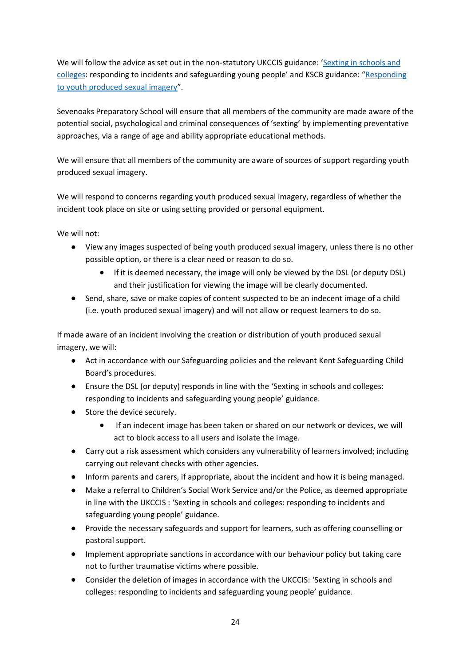We will follow the advice as set out in the non-statutory UKCCIS guidance: 'Sexting in schools and [colleges](https://assets.publishing.service.gov.uk/government/uploads/system/uploads/attachment_data/file/609874/6_2939_SP_NCA_Sexting_In_Schools_FINAL_Update_Jan17.pdf): responding to incidents and safeguarding young people' and [KSCB](http://www.kscb.org.uk/guidance/online-safety) guidance: "[Responding](https://www.proceduresonline.com/kentandmedway/pdfs/sexting_kent.pdf)  [to youth produced](https://www.proceduresonline.com/kentandmedway/pdfs/sexting_kent.pdf) sexual imagery".

Sevenoaks Preparatory School will ensure that all members of the community are made aware of the potential social, psychological and criminal consequences of 'sexting' by implementing preventative approaches, via a range of age and ability appropriate educational methods.

We will ensure that all members of the community are aware of sources of support regarding youth produced sexual imagery.

We will respond to concerns regarding youth produced sexual imagery, regardless of whether the incident took place on site or using setting provided or personal equipment.

We will not:

- View any images suspected of being youth produced sexual imagery, unless there is no other possible option, or there is a clear need or reason to do so.
	- If it is deemed necessary, the image will only be viewed by the DSL (or deputy DSL) and their justification for viewing the image will be clearly documented.
- Send, share, save or make copies of content suspected to be an indecent image of a child (i.e. youth produced sexual imagery) and will not allow or request learners to do so.

If made aware of an incident involving the creation or distribution of youth produced sexual imagery, we will:

- Act in accordance with our Safeguarding policies and the relevant Kent Safeguarding Child Board's procedures.
- Ensure the DSL (or deputy) responds in line with the ['Sexting in schools and colleges:](https://www.gov.uk/government/groups/uk-council-for-child-internet-safety-ukccis)  [responding to incidents and safeguard](https://www.gov.uk/government/groups/uk-council-for-child-internet-safety-ukccis)ing young people' guidance.
- Store the device securely.
	- If an indecent image has been taken or shared on our network or devices, we will act to block access to all users and isolate the image.
- Carry out a risk assessment which considers any vulnerability of learners involved; including carrying out relevant checks with other agencies.
- Inform parents and carers, if appropriate, about the incident and how it is being managed.
- Make a referral to Children's Social Work Service and/or the Police, as deemed appropriate in line with the UKCCIS : ['Sexting in schools and colleges: responding to incidents and](https://www.gov.uk/government/groups/uk-council-for-child-internet-safety-ukccis)  [safeguarding young people'](https://www.gov.uk/government/groups/uk-council-for-child-internet-safety-ukccis) guidance.
- Provide the necessary safeguards and support for learners, such as offering counselling or pastoral support.
- Implement appropriate sanctions in accordance with our behaviour policy but taking care not to further traumatise victims where possible.
- Consider the deletion of images in accordance with the UKCCIS: ['Sexting in schools and](https://www.gov.uk/government/groups/uk-council-for-child-internet-safety-ukccis)  [colleges: responding to incidents and safeguarding young people'](https://www.gov.uk/government/groups/uk-council-for-child-internet-safety-ukccis) guidance.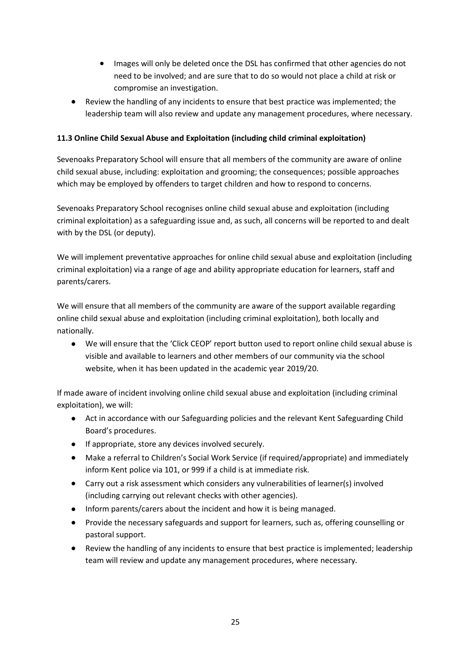- Images will only be deleted once the DSL has confirmed that other agencies do not need to be involved; and are sure that to do so would not place a child at risk or compromise an investigation.
- Review the handling of any incidents to ensure that best practice was implemented; the leadership team will also review and update any management procedures, where necessary.

# **11.3 Online Child Sexual Abuse and Exploitation (including child criminal exploitation)**

Sevenoaks Preparatory School will ensure that all members of the community are aware of online child sexual abuse, including: exploitation and grooming; the consequences; possible approaches which may be employed by offenders to target children and how to respond to concerns.

Sevenoaks Preparatory School recognises online child sexual abuse and exploitation (including criminal exploitation) as a safeguarding issue and, as such, all concerns will be reported to and dealt with by the DSL (or deputy).

We will implement preventative approaches for online child sexual abuse and exploitation (including criminal exploitation) via a range of age and ability appropriate education for learners, staff and parents/carers.

We will ensure that all members of the community are aware of the support available regarding online child sexual abuse and exploitation (including criminal exploitation), both locally and nationally.

• We will ensure that the 'Click CEOP' report button used to report online child sexual abuse is visible and available to learners and other members of our community via the school website, when it has been updated in the academic year 2019/20.

If made aware of incident involving online child sexual abuse and exploitation (including criminal exploitation), we will:

- Act in accordance with our Safeguarding policies and the relevant Kent Safeguarding Child Board's procedures.
- If appropriate, store any devices involved securely.
- Make a referral to Children's Social Work Service (if required/appropriate) and immediately inform Kent police via 101, or 999 if a child is at immediate risk.
- Carry out a risk assessment which considers any vulnerabilities of learner(s) involved (including carrying out relevant checks with other agencies).
- Inform parents/carers about the incident and how it is being managed.
- Provide the necessary safeguards and support for learners, such as, offering counselling or pastoral support.
- Review the handling of any incidents to ensure that best practice is implemented; leadership team will review and update any management procedures, where necessary.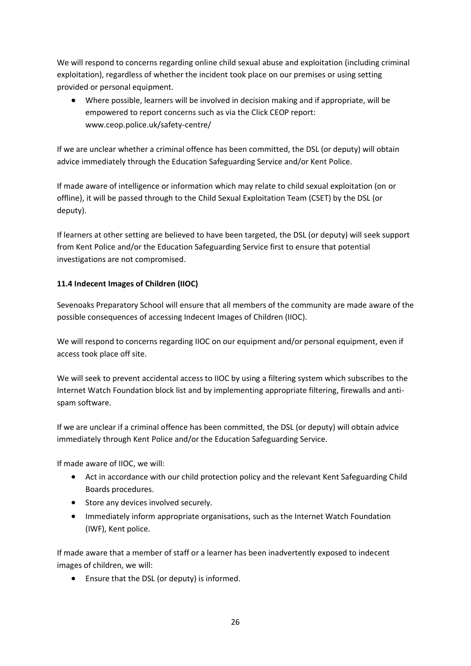We will respond to concerns regarding online child sexual abuse and exploitation (including criminal exploitation), regardless of whether the incident took place on our premises or using setting provided or personal equipment.

• Where possible, learners will be involved in decision making and if appropriate, will be empowered to report concerns such as via the Click CEOP report: [www.ceop.police.uk/safety-centre/](http://www.ceop.police.uk/safety-centre/)

If we are unclear whether a criminal offence has been committed, the DSL (or deputy) will obtain advice immediately through the Education Safeguarding Service and/or Kent Police.

If made aware of intelligence or information which may relate to child sexual exploitation (on or offline), it will be passed through to the [Child Sexual Exploitation Team](https://www.kent.police.uk/childabuse/) (CSET) by the DSL (or deputy).

If learners at other setting are believed to have been targeted, the DSL (or deputy) will seek support from Kent Police and/or the Education Safeguarding Service first to ensure that potential investigations are not compromised.

# **11.4 Indecent Images of Children (IIOC)**

Sevenoaks Preparatory School will ensure that all members of the community are made aware of the possible consequences of accessing Indecent Images of Children (IIOC).

We will respond to concerns regarding IIOC on our equipment and/or personal equipment, even if access took place off site.

We will seek to prevent accidental access to IIOC by using a filtering system which subscribes to the Internet Watch Foundation block list and by implementing appropriate filtering, firewalls and antispam software.

If we are unclear if a criminal offence has been committed, the DSL (or deputy) will obtain advice immediately through Kent Police and/or the Education Safeguarding Service.

If made aware of IIOC, we will:

- Act in accordance with our child protection policy and the relevant Kent Safeguarding Child Boards procedures.
- Store any devices involved securely.
- Immediately inform appropriate organisations, such as the Internet Watch Foundation (IWF), Kent police.

If made aware that a member of staff or a learner has been inadvertently exposed to indecent images of children, we will:

• Ensure that the DSL (or deputy) is informed.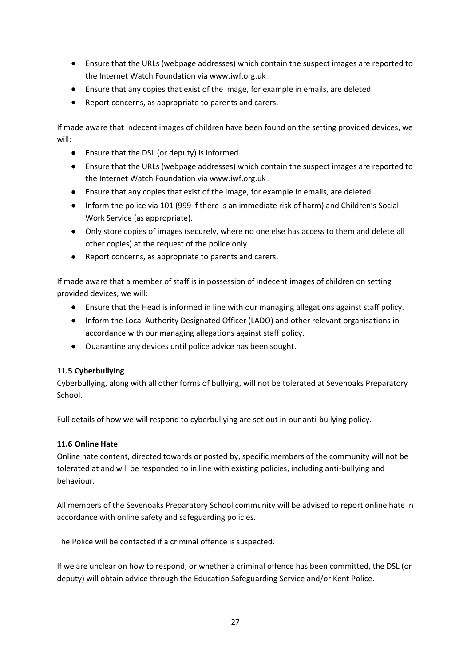- Ensure that the URLs (webpage addresses) which contain the suspect images are reported to the Internet Watch Foundation via [www.iwf.org.uk](https://www.iwf.org.uk/) .
- Ensure that any copies that exist of the image, for example in emails, are deleted.
- Report concerns, as appropriate to parents and carers.

If made aware that indecent images of children have been found on the setting provided devices, we will:

- Ensure that the DSL (or deputy) is informed.
- Ensure that the URLs (webpage addresses) which contain the suspect images are reported to the Internet Watch Foundation via [www.iwf.org.uk](https://www.iwf.org.uk/) .
- Ensure that any copies that exist of the image, for example in emails, are deleted.
- Inform the police via 101 (999 if there is an immediate risk of harm) and Children's Social Work Service (as appropriate).
- Only store copies of images (securely, where no one else has access to them and delete all other copies) at the request of the police only.
- Report concerns, as appropriate to parents and carers.

If made aware that a member of staff is in possession of indecent images of children on setting provided devices, we will:

- Ensure that the Head is informed in line with our managing allegations against staff policy.
- Inform the Local Authority Designated Officer (LADO) and other relevant organisations in accordance with our managing allegations against staff policy.
- Quarantine any devices until police advice has been sought.

# **11.5 Cyberbullying**

Cyberbullying, along with all other forms of bullying, will not be tolerated at Sevenoaks Preparatory School.

Full details of how we will respond to cyberbullying are set out in our anti-bullying policy.

# **11.6 Online Hate**

Online hate content, directed towards or posted by, specific members of the community will not be tolerated at and will be responded to in line with existing policies, including anti-bullying and behaviour.

All members of the Sevenoaks Preparatory School community will be advised to report online hate in accordance with online safety and safeguarding policies.

The Police will be contacted if a criminal offence is suspected.

If we are unclear on how to respond, or whether a criminal offence has been committed, the DSL (or deputy) will obtain advice through the Education Safeguarding Service and/or Kent Police.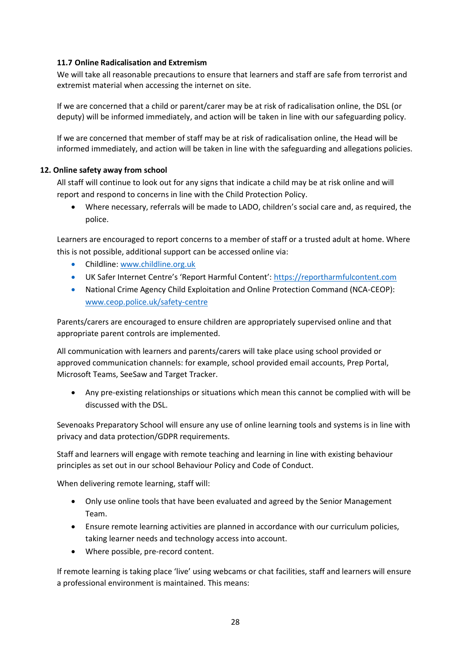### **11.7 Online Radicalisation and Extremism**

We will take all reasonable precautions to ensure that learners and staff are safe from terrorist and extremist material when accessing the internet on site.

If we are concerned that a child or parent/carer may be at risk of radicalisation online, the DSL (or deputy) will be informed immediately, and action will be taken in line with our safeguarding policy.

If we are concerned that member of staff may be at risk of radicalisation online, the Head will be informed immediately, and action will be taken in line with the safeguarding and allegations policies.

### <span id="page-27-0"></span>**12. Online safety away from school**

All staff will continue to look out for any signs that indicate a child may be at risk online and will report and respond to concerns in line with the Child Protection Policy.

• Where necessary, referrals will be made to LADO, children's social care and, as required, the police.

Learners are encouraged to report concerns to a member of staff or a trusted adult at home. Where this is not possible, additional support can be accessed online via:

- Childline: [www.childline.org.uk](http://www.childline.org.uk/)
- UK Safer Internet Centre's 'Report Harmful Content': [https://reportharmfulcontent.com](https://reportharmfulcontent.com/)
- National Crime Agency Child Exploitation and Online Protection Command (NCA-CEOP): [www.ceop.police.uk/safety-centre](https://www.ceop.police.uk/safety-centre/)

Parents/carers are encouraged to ensure children are appropriately supervised online and that appropriate parent controls are implemented.

All communication with learners and parents/carers will take place using school provided or approved communication channels: for example, school provided email accounts, Prep Portal, Microsoft Teams, SeeSaw and Target Tracker.

• Any pre-existing relationships or situations which mean this cannot be complied with will be discussed with the DSL.

Sevenoaks Preparatory School will ensure any use of online learning tools and systems is in line with privacy and data protection/GDPR requirements.

Staff and learners will engage with remote teaching and learning in line with existing behaviour principles as set out in our school Behaviour Policy and Code of Conduct.

When delivering remote learning, staff will:

- Only use online tools that have been evaluated and agreed by the Senior Management Team.
- Ensure remote learning activities are planned in accordance with our curriculum policies, taking learner needs and technology access into account.
- Where possible, pre-record content.

If remote learning is taking place 'live' using webcams or chat facilities, staff and learners will ensure a professional environment is maintained. This means: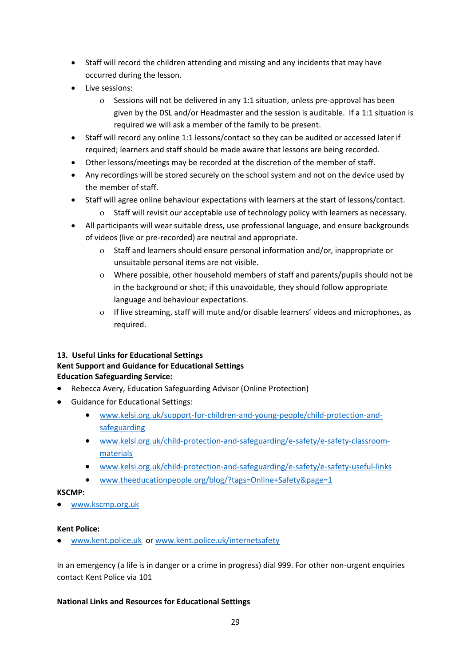- Staff will record the children attending and missing and any incidents that may have occurred during the lesson.
- Live sessions:
	- Sessions will not be delivered in any 1:1 situation, unless pre-approval has been given by the DSL and/or Headmaster and the session is auditable. If a 1:1 situation is required we will ask a member of the family to be present.
- Staff will record any online 1:1 lessons/contact so they can be audited or accessed later if required; learners and staff should be made aware that lessons are being recorded.
- Other lessons/meetings may be recorded at the discretion of the member of staff.
- Any recordings will be stored securely on the school system and not on the device used by the member of staff.
- Staff will agree online behaviour expectations with learners at the start of lessons/contact.
	- o Staff will revisit our acceptable use of technology policy with learners as necessary.
- All participants will wear suitable dress, use professional language, and ensure backgrounds of videos (live or pre-recorded) are neutral and appropriate.
	- Staff and learners should ensure personal information and/or, inappropriate or unsuitable personal items are not visible.
	- Where possible, other household members of staff and parents/pupils should not be in the background or shot; if this unavoidable, they should follow appropriate language and behaviour expectations.
	- If live streaming, staff will mute and/or disable learners' videos and microphones, as required.

# <span id="page-28-0"></span>**13. Useful Links for Educational Settings**

# **Kent Support and Guidance for Educational Settings**

# **Education Safeguarding Service:**

- Rebecca Avery, Education Safeguarding Advisor (Online Protection)
- Guidance for Educational Settings:
	- [www.kelsi.org.uk/support-for-children-and-young-people/child-protection-and](http://www.kelsi.org.uk/support-for-children-and-young-people/child-protection-and-safeguarding)[safeguarding](http://www.kelsi.org.uk/support-for-children-and-young-people/child-protection-and-safeguarding)
	- [www.kelsi.org.uk/child-protection-and-safeguarding/e-safety/e-safety-classroom](http://www.kelsi.org.uk/child-protection-and-safeguarding/e-safety/e-safety-classroom-materials)[materials](http://www.kelsi.org.uk/child-protection-and-safeguarding/e-safety/e-safety-classroom-materials)
	- [www.kelsi.org.uk/child-protection-and-safeguarding/e-safety/e-safety-useful-links](http://www.kelsi.org.uk/child-protection-and-safeguarding/e-safety/e-safety-useful-links)
	- [www.theeducationpeople.org/blog/?tags=Online+Safety&page=1](http://www.theeducationpeople.org/blog/?tags=Online+Safety&page=1)

# **KSCMP:**

• [www.kscmp.org.uk](http://www.kscmp.org.uk/)

# **Kent Police:**

[www.kent.police.uk](http://www.kent.police.uk/) or [www.kent.police.uk/internetsafety](http://www.kent.police.uk/internetsafety)

In an emergency (a life is in danger or a crime in progress) dial 999. For other non-urgent enquiries contact Kent Police via 101

# **National Links and Resources for Educational Settings**